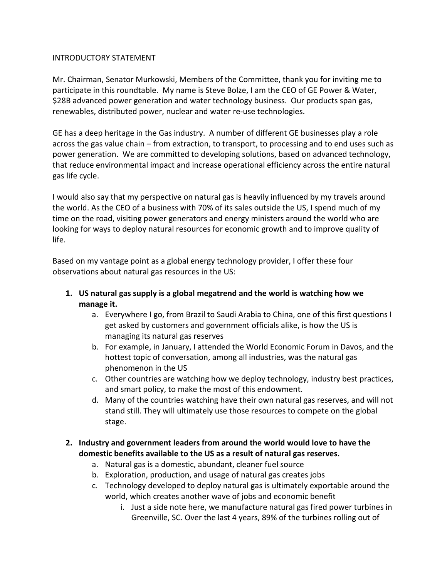#### INTRODUCTORY STATEMENT

Mr. Chairman, Senator Murkowski, Members of the Committee, thank you for inviting me to participate in this roundtable. My name is Steve Bolze, I am the CEO of GE Power & Water, \$28B advanced power generation and water technology business. Our products span gas, renewables, distributed power, nuclear and water re-use technologies.

GE has a deep heritage in the Gas industry. A number of different GE businesses play a role across the gas value chain – from extraction, to transport, to processing and to end uses such as power generation. We are committed to developing solutions, based on advanced technology, that reduce environmental impact and increase operational efficiency across the entire natural gas life cycle.

I would also say that my perspective on natural gas is heavily influenced by my travels around the world. As the CEO of a business with 70% of its sales outside the US, I spend much of my time on the road, visiting power generators and energy ministers around the world who are looking for ways to deploy natural resources for economic growth and to improve quality of life.

Based on my vantage point as a global energy technology provider, I offer these four observations about natural gas resources in the US:

- **1. US natural gas supply is a global megatrend and the world is watching how we manage it.**
	- a. Everywhere I go, from Brazil to Saudi Arabia to China, one of this first questions I get asked by customers and government officials alike, is how the US is managing its natural gas reserves
	- b. For example, in January, I attended the World Economic Forum in Davos, and the hottest topic of conversation, among all industries, was the natural gas phenomenon in the US
	- c. Other countries are watching how we deploy technology, industry best practices, and smart policy, to make the most of this endowment.
	- d. Many of the countries watching have their own natural gas reserves, and will not stand still. They will ultimately use those resources to compete on the global stage.

## **2. Industry and government leaders from around the world would love to have the domestic benefits available to the US as a result of natural gas reserves.**

- a. Natural gas is a domestic, abundant, cleaner fuel source
- b. Exploration, production, and usage of natural gas creates jobs
- c. Technology developed to deploy natural gas is ultimately exportable around the world, which creates another wave of jobs and economic benefit
	- i. Just a side note here, we manufacture natural gas fired power turbines in Greenville, SC. Over the last 4 years, 89% of the turbines rolling out of